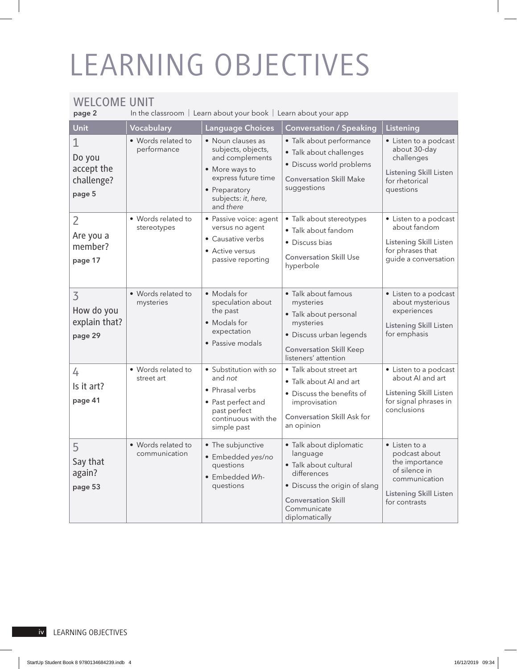## LEARNING OBJECTIVES

## WELCOME UNIT

In the classroom  $\vert$  Learn about your book  $\vert$  Learn about your app

| Unit                                                         | Vocabulary                          | <b>Language Choices</b>                                                                                                                                  | <b>Conversation / Speaking</b>                                                                                                                                             | Listening                                                                                                                                    |
|--------------------------------------------------------------|-------------------------------------|----------------------------------------------------------------------------------------------------------------------------------------------------------|----------------------------------------------------------------------------------------------------------------------------------------------------------------------------|----------------------------------------------------------------------------------------------------------------------------------------------|
| $\mathbf{1}$<br>Do you<br>accept the<br>challenge?<br>page 5 | • Words related to<br>performance   | • Noun clauses as<br>subjects, objects,<br>and complements<br>• More ways to<br>express future time<br>• Preparatory<br>subjects: it, here,<br>and there | · Talk about performance<br>• Talk about challenges<br>· Discuss world problems<br><b>Conversation Skill Make</b><br>suggestions                                           | • Listen to a podcast<br>about 30-day<br>challenges<br><b>Listening Skill Listen</b><br>for rhetorical<br>questions                          |
| $\overline{2}$<br>Are you a<br>member?<br>page 17            | • Words related to<br>stereotypes   | · Passive voice: agent<br>versus no agent<br>• Causative verbs<br>• Active versus<br>passive reporting                                                   | • Talk about stereotypes<br>· Talk about fandom<br>· Discuss bias<br><b>Conversation Skill Use</b><br>hyperbole                                                            | • Listen to a podcast<br>about fandom<br><b>Listening Skill Listen</b><br>for phrases that<br>guide a conversation                           |
| $\overline{3}$<br>How do you<br>explain that?<br>page 29     | • Words related to<br>mysteries     | • Modals for<br>speculation about<br>the past<br>• Modals for<br>expectation<br>• Passive modals                                                         | · Talk about famous<br>mysteries<br>· Talk about personal<br>mysteries<br>· Discuss urban legends<br><b>Conversation Skill Keep</b><br>listeners' attention                | • Listen to a podcast<br>about mysterious<br>experiences<br><b>Listening Skill Listen</b><br>for emphasis                                    |
| 4<br>Is it art?<br>page 41                                   | • Words related to<br>street art    | · Substitution with so<br>and not<br>• Phrasal verbs<br>• Past perfect and<br>past perfect<br>continuous with the<br>simple past                         | • Talk about street art<br>• Talk about AI and art<br>· Discuss the benefits of<br>improvisation<br><b>Conversation Skill Ask for</b><br>an opinion                        | • Listen to a podcast<br>about Al and art<br><b>Listening Skill Listen</b><br>for signal phrases in<br>conclusions                           |
| 5<br>Say that<br>again?<br>page 53                           | • Words related to<br>communication | • The subjunctive<br>· Embedded yes/no<br>questions<br>· Embedded Wh-<br>questions                                                                       | · Talk about diplomatic<br>language<br>• Talk about cultural<br>differences<br>· Discuss the origin of slang<br><b>Conversation Skill</b><br>Communicate<br>diplomatically | $\bullet$ Listen to a<br>podcast about<br>the importance<br>of silence in<br>communication<br><b>Listening Skill Listen</b><br>for contrasts |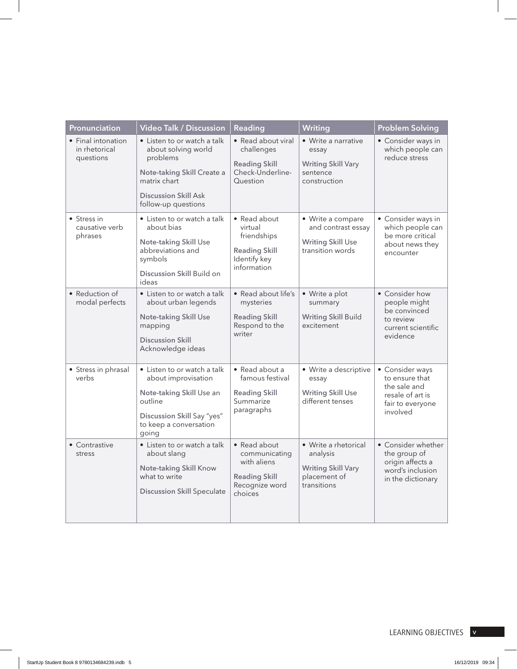| Pronunciation                                    | Video Talk / Discussion                                                                                                                                    | Reading                                                                                           | Writing                                                                                      | <b>Problem Solving</b>                                                                                |
|--------------------------------------------------|------------------------------------------------------------------------------------------------------------------------------------------------------------|---------------------------------------------------------------------------------------------------|----------------------------------------------------------------------------------------------|-------------------------------------------------------------------------------------------------------|
| • Final intonation<br>in rhetorical<br>questions | • Listen to or watch a talk<br>about solving world<br>problems<br>Note-taking Skill Create a<br>matrix chart                                               | • Read about viral<br>challenges<br><b>Reading Skill</b><br>Check-Underline-<br>Question          | • Write a narrative<br>essay<br><b>Writing Skill Vary</b><br>sentence<br>construction        | • Consider ways in<br>which people can<br>reduce stress                                               |
|                                                  | <b>Discussion Skill Ask</b><br>follow-up questions                                                                                                         |                                                                                                   |                                                                                              |                                                                                                       |
| • Stress in<br>causative verb<br>phrases         | • Listen to or watch a talk<br>about bias<br><b>Note-taking Skill Use</b><br>abbreviations and<br>symbols<br>Discussion Skill Build on<br>ideas            | • Read about<br>virtual<br>friendships<br><b>Reading Skill</b><br>Identify key<br>information     | • Write a compare<br>and contrast essay<br><b>Writing Skill Use</b><br>transition words      | • Consider ways in<br>which people can<br>be more critical<br>about news they<br>encounter            |
| • Reduction of<br>modal perfects                 | • Listen to or watch a talk<br>about urban legends<br><b>Note-taking Skill Use</b><br>mapping<br><b>Discussion Skill</b><br>Acknowledge ideas              | • Read about life's<br>mysteries<br><b>Reading Skill</b><br>Respond to the<br>writer              | • Write a plot<br>summary<br><b>Writing Skill Build</b><br>excitement                        | • Consider how<br>people might<br>be convinced<br>to review<br>current scientific<br>evidence         |
| • Stress in phrasal<br>verbs                     | • Listen to or watch a talk<br>about improvisation<br>Note-taking Skill Use an<br>outline<br>Discussion Skill Say "yes"<br>to keep a conversation<br>going | • Read about a<br>famous festival<br><b>Reading Skill</b><br>Summarize<br>paragraphs              | • Write a descriptive<br>essay<br><b>Writing Skill Use</b><br>different tenses               | • Consider ways<br>to ensure that<br>the sale and<br>resale of art is<br>fair to everyone<br>involved |
| • Contrastive<br>stress                          | • Listen to or watch a talk<br>about slang<br>Note-taking Skill Know<br>what to write<br><b>Discussion Skill Speculate</b>                                 | • Read about<br>communicating<br>with aliens<br><b>Reading Skill</b><br>Recognize word<br>choices | • Write a rhetorical<br>analysis<br><b>Writing Skill Vary</b><br>placement of<br>transitions | • Consider whether<br>the group of<br>origin affects a<br>word's inclusion<br>in the dictionary       |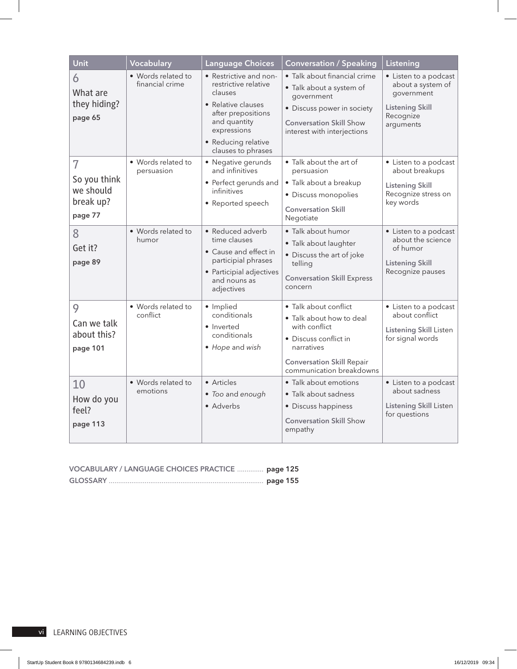| Unit                                                                | Vocabulary                            | <b>Language Choices</b>                                                                                                                                                           | <b>Conversation / Speaking</b>                                                                                                                                            | Listening                                                                                                    |
|---------------------------------------------------------------------|---------------------------------------|-----------------------------------------------------------------------------------------------------------------------------------------------------------------------------------|---------------------------------------------------------------------------------------------------------------------------------------------------------------------------|--------------------------------------------------------------------------------------------------------------|
| 6<br>What are<br>they hiding?<br>page 65                            | • Words related to<br>financial crime | • Restrictive and non-<br>restrictive relative<br>clauses<br>• Relative clauses<br>after prepositions<br>and quantity<br>expressions<br>• Reducing relative<br>clauses to phrases | • Talk about financial crime<br>• Talk about a system of<br>government<br>• Discuss power in society<br><b>Conversation Skill Show</b><br>interest with interjections     | • Listen to a podcast<br>about a system of<br>government<br><b>Listening Skill</b><br>Recognize<br>arguments |
| $\overline{7}$<br>So you think<br>we should<br>break up?<br>page 77 | • Words related to<br>persuasion      | • Negative gerunds<br>and infinitives<br>• Perfect gerunds and<br>infinitives<br>• Reported speech                                                                                | • Talk about the art of<br>persuasion<br>• Talk about a breakup<br>· Discuss monopolies<br><b>Conversation Skill</b><br>Negotiate                                         | • Listen to a podcast<br>about breakups<br><b>Listening Skill</b><br>Recognize stress on<br>key words        |
| 8<br>Get it?<br>page 89                                             | • Words related to<br>humor           | • Reduced adverb<br>time clauses<br>• Cause and effect in<br>participial phrases<br>• Participial adjectives<br>and nouns as<br>adjectives                                        | · Talk about humor<br>· Talk about laughter<br>• Discuss the art of joke<br>telling<br><b>Conversation Skill Express</b><br>concern                                       | • Listen to a podcast<br>about the science<br>of humor<br><b>Listening Skill</b><br>Recognize pauses         |
| 9<br>Can we talk<br>about this?<br>page 101                         | • Words related to<br>conflict        | · Implied<br>conditionals<br>• Inverted<br>conditionals<br>• Hope and wish                                                                                                        | • Talk about conflict<br>• Talk about how to deal<br>with conflict<br>• Discuss conflict in<br>narratives<br><b>Conversation Skill Repair</b><br>communication breakdowns | • Listen to a podcast<br>about conflict<br><b>Listening Skill Listen</b><br>for signal words                 |
| 10<br>How do you<br>feel?<br>page 113                               | • Words related to<br>emotions        | • Articles<br>• Too and enough<br>• Adverbs                                                                                                                                       | · Talk about emotions<br>• Talk about sadness<br>• Discuss happiness<br><b>Conversation Skill Show</b><br>empathy                                                         | • Listen to a podcast<br>about sadness<br><b>Listening Skill Listen</b><br>for questions                     |

| VOCABULARY / LANGUAGE CHOICES PRACTICE  page 125 |  |
|--------------------------------------------------|--|
|                                                  |  |